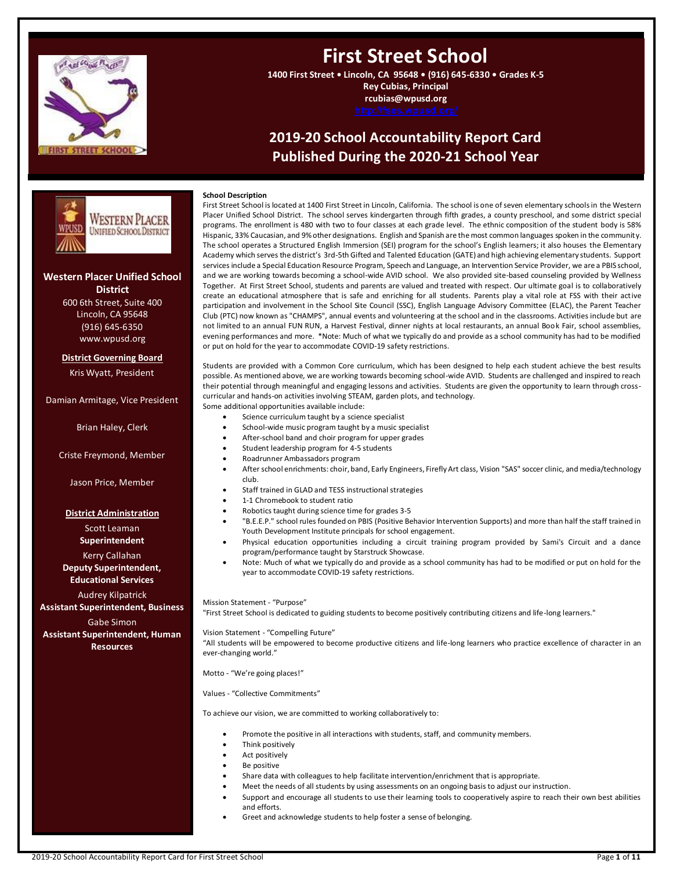

# **First Street School**

**1400 First Street • Lincoln, CA 95648 • (916) 645-6330 • Grades K-5 Rey Cubias, Principal rcubias@wpusd.org**

## **2019-20 School Accountability Report Card Published During the 2020-21 School Year**



### **Western Placer Unified School**

**District** 600 6th Street, Suite 400 Lincoln, CA 95648 (916) 645-6350 www.wpusd.org

### **District Governing Board**

Kris Wyatt, President

Damian Armitage, Vice President

Brian Haley, Clerk

Criste Freymond, Member

Jason Price, Member

#### **District Administration**

Scott Leaman

**Superintendent** Kerry Callahan

**Deputy Superintendent, Educational Services**

Audrey Kilpatrick **Assistant Superintendent, Business**

Gabe Simon **Assistant Superintendent, Human** 

**Resources**

First Street School is located at 1400 First Street in Lincoln, California. The school is one of seven elementary schools in the Western Placer Unified School District. The school serves kindergarten through fifth grades, a county preschool, and some district special programs. The enrollment is 480 with two to four classes at each grade level. The ethnic composition of the student body is 58% Hispanic, 33% Caucasian, and 9% other designations. English and Spanish are the most common languages spoken in the community. The school operates a Structured English Immersion (SEI) program for the school's English learners; it also houses the Elementary Academy which serves the district's 3rd-5th Gifted and Talented Education (GATE) and high achieving elementary students. Support services include a Special Education Resource Program, Speech and Language, an Intervention Service Provider, we are a PBIS school, and we are working towards becoming a school-wide AVID school. We also provided site-based counseling provided by Wellness Together. At First Street School, students and parents are valued and treated with respect. Our ultimate goal is to collaboratively create an educational atmosphere that is safe and enriching for all students. Parents play a vital role at FSS with their active participation and involvement in the School Site Council (SSC), English Language Advisory Committee (ELAC), the Parent Teacher Club (PTC) now known as "CHAMPS", annual events and volunteering at the school and in the classrooms. Activities include but are not limited to an annual FUN RUN, a Harvest Festival, dinner nights at local restaurants, an annual Book Fair, school assemblies, evening performances and more. \*Note: Much of what we typically do and provide as a school community has had to be modified or put on hold for the year to accommodate COVID-19 safety restrictions.

Students are provided with a Common Core curriculum, which has been designed to help each student achieve the best results possible. As mentioned above, we are working towards becoming school-wide AVID. Students are challenged and inspired to reach their potential through meaningful and engaging lessons and activities. Students are given the opportunity to learn through crosscurricular and hands-on activities involving STEAM, garden plots, and technology.

- Some additional opportunities available include:
	- Science curriculum taught by a science specialist
	- School-wide music program taught by a music specialist
	- After-school band and choir program for upper grades
	- Student leadership program for 4-5 students • Roadrunner Ambassadors program
	-
	- After school enrichments: choir, band, Early Engineers, Firefly Art class, Vision "SAS" soccer clinic, and media/technology club.
	- Staff trained in GLAD and TESS instructional strategies
	- 1-1 Chromebook to student ratio
	- Robotics taught during science time for grades 3-5
	- "B.E.E.P." school rules founded on PBIS (Positive Behavior Intervention Supports) and more than half the staff trained in Youth Development Institute principals for school engagement.
	- Physical education opportunities including a circuit training program provided by Sami's Circuit and a dance program/performance taught by Starstruck Showcase.
	- Note: Much of what we typically do and provide as a school community has had to be modified or put on hold for the year to accommodate COVID-19 safety restrictions.

Mission Statement - "Purpose"

**School Description**

"First Street School is dedicated to guiding students to become positively contributing citizens and life-long learners."

Vision Statement - "Compelling Future"

"All students will be empowered to become productive citizens and life-long learners who practice excellence of character in an ever-changing world."

Motto - "We're going places!"

Values - "Collective Commitments"

To achieve our vision, we are committed to working collaboratively to:

- Promote the positive in all interactions with students, staff, and community members.
- Think positively
- Act positively
- Be positive
- Share data with colleagues to help facilitate intervention/enrichment that is appropriate.
- Meet the needs of all students by using assessments on an ongoing basis to adjust our instruction.
	- Support and encourage all students to use their learning tools to cooperatively aspire to reach their own best abilities and efforts.
	- Greet and acknowledge students to help foster a sense of belonging.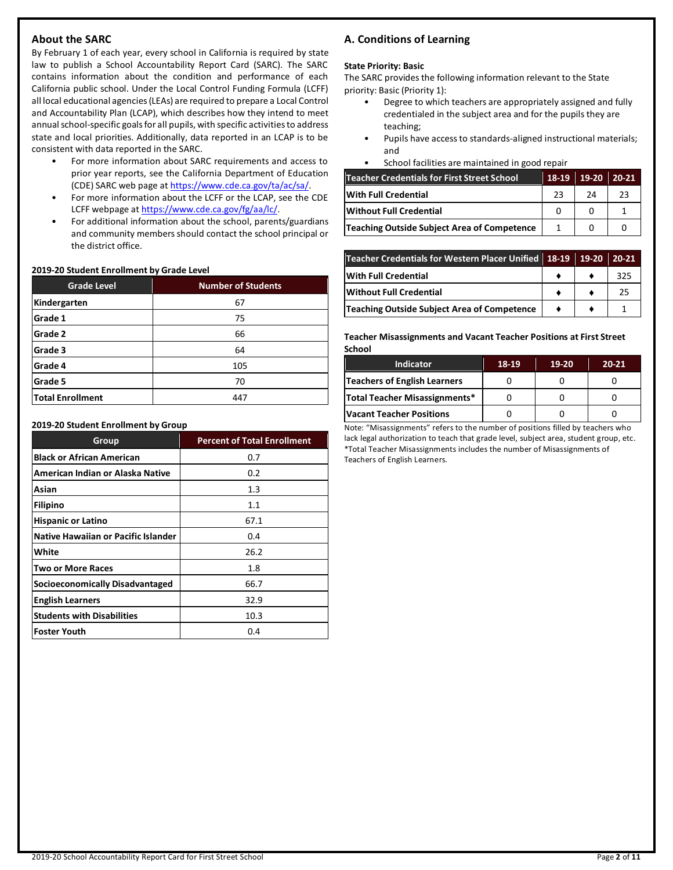### **About the SARC**

By February 1 of each year, every school in California is required by state law to publish a School Accountability Report Card (SARC). The SARC contains information about the condition and performance of each California public school. Under the Local Control Funding Formula (LCFF) all local educational agencies (LEAs) are required to prepare a Local Control and Accountability Plan (LCAP), which describes how they intend to meet annual school-specific goals for all pupils, with specific activities to address state and local priorities. Additionally, data reported in an LCAP is to be consistent with data reported in the SARC.

- For more information about SARC requirements and access to prior year reports, see the California Department of Education (CDE) SARC web page at [https://www.cde.ca.gov/ta/ac/sa/.](https://www.cde.ca.gov/ta/ac/sa/)
- For more information about the LCFF or the LCAP, see the CDE LCFF webpage a[t https://www.cde.ca.gov/fg/aa/lc/.](https://www.cde.ca.gov/fg/aa/lc/)
- For additional information about the school, parents/guardians and community members should contact the school principal or the district office.

### **2019-20 Student Enrollment by Grade Level**

| <b>Grade Level</b>      | <b>Number of Students</b> |
|-------------------------|---------------------------|
| Kindergarten            | 67                        |
| Grade 1                 | 75                        |
| Grade 2                 | 66                        |
| Grade 3                 | 64                        |
| Grade 4                 | 105                       |
| Grade 5                 | 70                        |
| <b>Total Enrollment</b> | 447                       |

#### **2019-20 Student Enrollment by Group**

| Group                               | <b>Percent of Total Enrollment</b> |
|-------------------------------------|------------------------------------|
| <b>Black or African American</b>    | 0.7                                |
| American Indian or Alaska Native    | 0.2                                |
| Asian                               | $1.3\,$                            |
| <b>Filipino</b>                     | 1.1                                |
| <b>Hispanic or Latino</b>           | 67.1                               |
| Native Hawaiian or Pacific Islander | 0.4                                |
| White                               | 26.2                               |
| <b>Two or More Races</b>            | 1.8                                |
| Socioeconomically Disadvantaged     | 66.7                               |
| <b>English Learners</b>             | 32.9                               |
| <b>Students with Disabilities</b>   | 10.3                               |
| <b>Foster Youth</b>                 | 0.4                                |

### **A. Conditions of Learning**

### **State Priority: Basic**

The SARC provides the following information relevant to the State priority: Basic (Priority 1):

- Degree to which teachers are appropriately assigned and fully credentialed in the subject area and for the pupils they are teaching;
- Pupils have access to standards-aligned instructional materials; and
- School facilities are maintained in good repair

| Teacher Credentials for First Street School | 18-19 | $19-20$ | $20 - 21$ |
|---------------------------------------------|-------|---------|-----------|
| With Full Credential                        | 23    | 24      | 23        |
| <b>Without Full Credential</b>              |       |         |           |
| Teaching Outside Subject Area of Competence |       |         |           |

| Teacher Credentials for Western Placer Unified 18-19 19-20 20-21 |  |     |
|------------------------------------------------------------------|--|-----|
| <b>With Full Credential</b>                                      |  | 325 |
| <b>Without Full Credential</b>                                   |  | 25  |
| <b>Teaching Outside Subject Area of Competence</b>               |  |     |

**Teacher Misassignments and Vacant Teacher Positions at First Street School**

| <b>Indicator</b>                | 18-19 | 19-20 | $20 - 21$ |
|---------------------------------|-------|-------|-----------|
| Teachers of English Learners    |       |       |           |
| Total Teacher Misassignments*   |       |       |           |
| <b>Vacant Teacher Positions</b> |       |       |           |

Note: "Misassignments" refers to the number of positions filled by teachers who lack legal authorization to teach that grade level, subject area, student group, etc. \*Total Teacher Misassignments includes the number of Misassignments of Teachers of English Learners.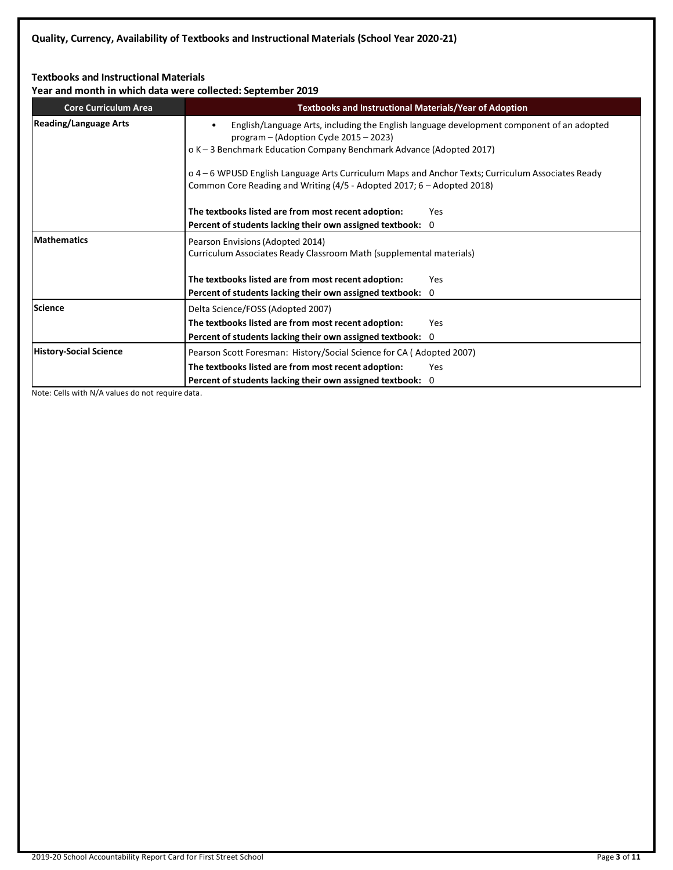### **Textbooks and Instructional Materials**

**Year and month in which data were collected: September 2019**

| <b>Core Curriculum Area</b>   | <b>Textbooks and Instructional Materials/Year of Adoption</b>                                                                                                                                                   |
|-------------------------------|-----------------------------------------------------------------------------------------------------------------------------------------------------------------------------------------------------------------|
| <b>Reading/Language Arts</b>  | English/Language Arts, including the English language development component of an adopted<br>program $-$ (Adoption Cycle 2015 $-$ 2023)<br>o K - 3 Benchmark Education Company Benchmark Advance (Adopted 2017) |
|                               | o 4 – 6 WPUSD English Language Arts Curriculum Maps and Anchor Texts; Curriculum Associates Ready<br>Common Core Reading and Writing (4/5 - Adopted 2017; 6 - Adopted 2018)                                     |
|                               | The textbooks listed are from most recent adoption:<br>Yes                                                                                                                                                      |
|                               | Percent of students lacking their own assigned textbook: 0                                                                                                                                                      |
| <b>Mathematics</b>            | Pearson Envisions (Adopted 2014)<br>Curriculum Associates Ready Classroom Math (supplemental materials)                                                                                                         |
|                               | The textbooks listed are from most recent adoption:<br><b>Yes</b>                                                                                                                                               |
|                               | Percent of students lacking their own assigned textbook: 0                                                                                                                                                      |
| Science                       | Delta Science/FOSS (Adopted 2007)                                                                                                                                                                               |
|                               | The textbooks listed are from most recent adoption:<br>Yes                                                                                                                                                      |
|                               | Percent of students lacking their own assigned textbook: 0                                                                                                                                                      |
| <b>History-Social Science</b> | Pearson Scott Foresman: History/Social Science for CA (Adopted 2007)                                                                                                                                            |
|                               | The textbooks listed are from most recent adoption:<br>Yes                                                                                                                                                      |
|                               | Percent of students lacking their own assigned textbook: 0                                                                                                                                                      |

Note: Cells with N/A values do not require data.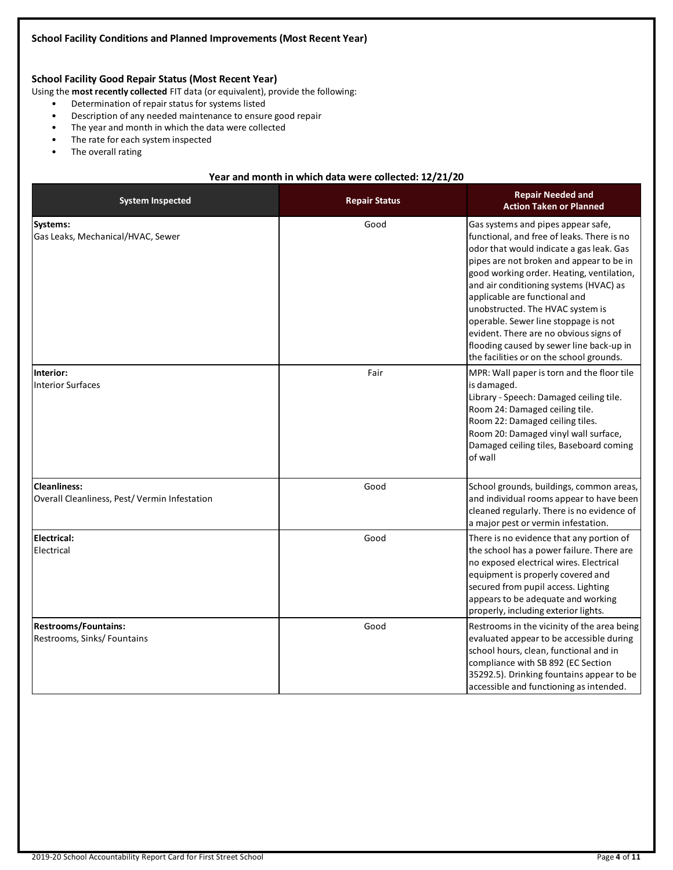### **School Facility Good Repair Status (Most Recent Year)**

Using the **most recently collected** FIT data (or equivalent), provide the following:

- Determination of repair status for systems listed
- Description of any needed maintenance to ensure good repair
- The year and month in which the data were collected
- The rate for each system inspected
- The overall rating

### **Year and month in which data were collected: 12/21/20**

| <b>System Inspected</b>                                             | <b>Repair Status</b> | <b>Repair Needed and</b><br><b>Action Taken or Planned</b>                                                                                                                                                                                                                                                                                                                                                                                                                                                     |
|---------------------------------------------------------------------|----------------------|----------------------------------------------------------------------------------------------------------------------------------------------------------------------------------------------------------------------------------------------------------------------------------------------------------------------------------------------------------------------------------------------------------------------------------------------------------------------------------------------------------------|
| Systems:<br>Gas Leaks, Mechanical/HVAC, Sewer                       | Good                 | Gas systems and pipes appear safe,<br>functional, and free of leaks. There is no<br>odor that would indicate a gas leak. Gas<br>pipes are not broken and appear to be in<br>good working order. Heating, ventilation,<br>and air conditioning systems (HVAC) as<br>applicable are functional and<br>unobstructed. The HVAC system is<br>operable. Sewer line stoppage is not<br>evident. There are no obvious signs of<br>flooding caused by sewer line back-up in<br>the facilities or on the school grounds. |
| Interior:<br><b>Interior Surfaces</b>                               | Fair                 | MPR: Wall paper is torn and the floor tile<br>is damaged.<br>Library - Speech: Damaged ceiling tile.<br>Room 24: Damaged ceiling tile.<br>Room 22: Damaged ceiling tiles.<br>Room 20: Damaged vinyl wall surface,<br>Damaged ceiling tiles, Baseboard coming<br>of wall                                                                                                                                                                                                                                        |
| <b>Cleanliness:</b><br>Overall Cleanliness, Pest/Vermin Infestation | Good                 | School grounds, buildings, common areas,<br>and individual rooms appear to have been<br>cleaned regularly. There is no evidence of<br>a major pest or vermin infestation.                                                                                                                                                                                                                                                                                                                                      |
| <b>Electrical:</b><br>Electrical                                    | Good                 | There is no evidence that any portion of<br>the school has a power failure. There are<br>no exposed electrical wires. Electrical<br>equipment is properly covered and<br>secured from pupil access. Lighting<br>appears to be adequate and working<br>properly, including exterior lights.                                                                                                                                                                                                                     |
| <b>Restrooms/Fountains:</b><br>Restrooms, Sinks/ Fountains          | Good                 | Restrooms in the vicinity of the area being<br>evaluated appear to be accessible during<br>school hours, clean, functional and in<br>compliance with SB 892 (EC Section<br>35292.5). Drinking fountains appear to be<br>accessible and functioning as intended.                                                                                                                                                                                                                                                |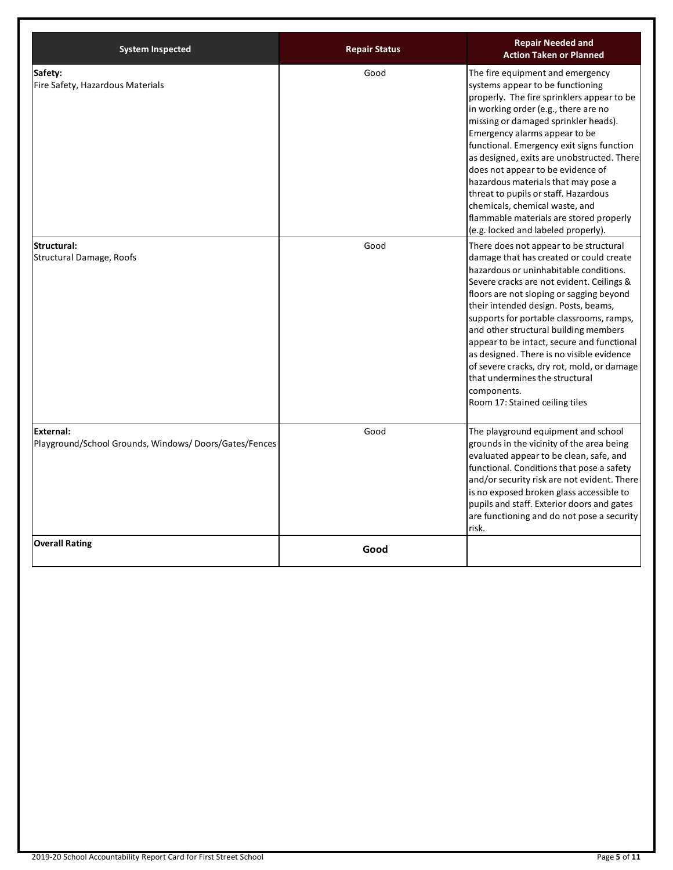| <b>System Inspected</b>                                            | <b>Repair Status</b> | <b>Repair Needed and</b><br><b>Action Taken or Planned</b>                                                                                                                                                                                                                                                                                                                                                                                                                                                                                                                    |
|--------------------------------------------------------------------|----------------------|-------------------------------------------------------------------------------------------------------------------------------------------------------------------------------------------------------------------------------------------------------------------------------------------------------------------------------------------------------------------------------------------------------------------------------------------------------------------------------------------------------------------------------------------------------------------------------|
| Safety:<br>Fire Safety, Hazardous Materials                        | Good                 | The fire equipment and emergency<br>systems appear to be functioning<br>properly. The fire sprinklers appear to be<br>in working order (e.g., there are no<br>missing or damaged sprinkler heads).<br>Emergency alarms appear to be<br>functional. Emergency exit signs function<br>as designed, exits are unobstructed. There<br>does not appear to be evidence of<br>hazardous materials that may pose a<br>threat to pupils or staff. Hazardous<br>chemicals, chemical waste, and<br>flammable materials are stored properly<br>(e.g. locked and labeled properly).        |
| Structural:<br><b>Structural Damage, Roofs</b>                     | Good                 | There does not appear to be structural<br>damage that has created or could create<br>hazardous or uninhabitable conditions.<br>Severe cracks are not evident. Ceilings &<br>floors are not sloping or sagging beyond<br>their intended design. Posts, beams,<br>supports for portable classrooms, ramps,<br>and other structural building members<br>appear to be intact, secure and functional<br>as designed. There is no visible evidence<br>of severe cracks, dry rot, mold, or damage<br>that undermines the structural<br>components.<br>Room 17: Stained ceiling tiles |
| External:<br>Playground/School Grounds, Windows/Doors/Gates/Fences | Good                 | The playground equipment and school<br>grounds in the vicinity of the area being<br>evaluated appear to be clean, safe, and<br>functional. Conditions that pose a safety<br>and/or security risk are not evident. There<br>is no exposed broken glass accessible to<br>pupils and staff. Exterior doors and gates<br>are functioning and do not pose a security<br>risk.                                                                                                                                                                                                      |
| <b>Overall Rating</b>                                              | Good                 |                                                                                                                                                                                                                                                                                                                                                                                                                                                                                                                                                                               |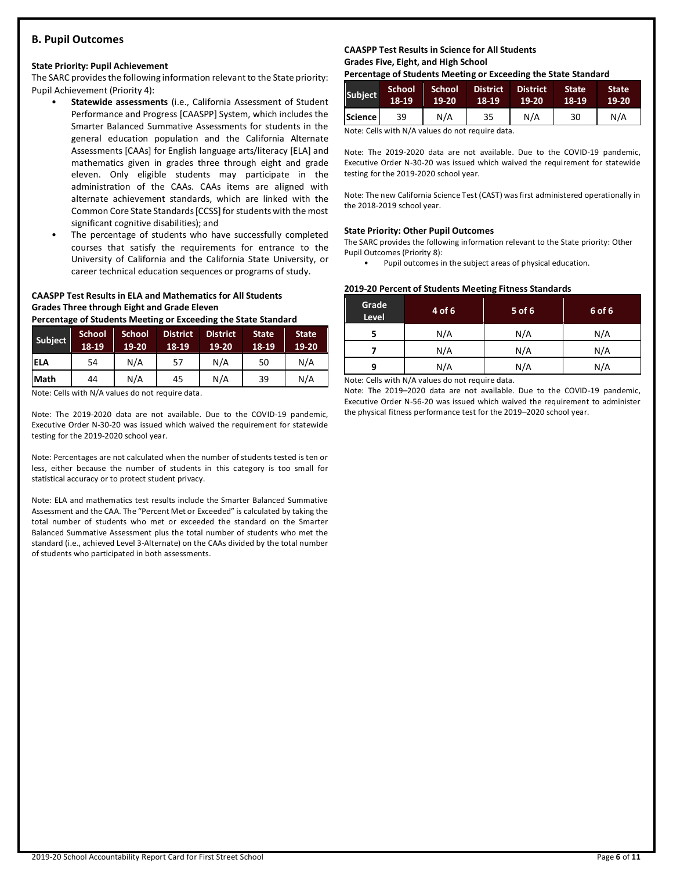### **B. Pupil Outcomes**

### **State Priority: Pupil Achievement**

The SARC provides the following information relevant to the State priority: Pupil Achievement (Priority 4):

- **Statewide assessments** (i.e., California Assessment of Student Performance and Progress [CAASPP] System, which includes the Smarter Balanced Summative Assessments for students in the general education population and the California Alternate Assessments [CAAs] for English language arts/literacy [ELA] and mathematics given in grades three through eight and grade eleven. Only eligible students may participate in the administration of the CAAs. CAAs items are aligned with alternate achievement standards, which are linked with the Common Core State Standards [CCSS] for students with the most significant cognitive disabilities); and
- The percentage of students who have successfully completed courses that satisfy the requirements for entrance to the University of California and the California State University, or career technical education sequences or programs of study.

### **CAASPP Test Results in ELA and Mathematics for All Students Grades Three through Eight and Grade Eleven**

**Percentage of Students Meeting or Exceeding the State Standard**

| Subject     | <b>School</b><br>18-19 | <b>School</b><br>19-20 | <b>District</b><br>18-19 | <b>District</b><br>$19-20$ | <b>State</b><br>$18-19$ | <b>State</b><br>19-20 |
|-------------|------------------------|------------------------|--------------------------|----------------------------|-------------------------|-----------------------|
| <b>ELA</b>  | 54                     | N/A                    | 57                       | N/A                        | 50                      | N/A                   |
| <b>Math</b> | 44                     | N/A                    | 45                       | N/A                        | 39                      | N/A                   |

Note: Cells with N/A values do not require data.

Note: The 2019-2020 data are not available. Due to the COVID-19 pandemic, Executive Order N-30-20 was issued which waived the requirement for statewide testing for the 2019-2020 school year.

Note: Percentages are not calculated when the number of students tested is ten or less, either because the number of students in this category is too small for statistical accuracy or to protect student privacy.

Note: ELA and mathematics test results include the Smarter Balanced Summative Assessment and the CAA. The "Percent Met or Exceeded" is calculated by taking the total number of students who met or exceeded the standard on the Smarter Balanced Summative Assessment plus the total number of students who met the standard (i.e., achieved Level 3-Alternate) on the CAAs divided by the total number of students who participated in both assessments.

### **CAASPP Test Results in Science for All Students Grades Five, Eight, and High School**

**Percentage of Students Meeting or Exceeding the State Standard**

| <b>Subject</b> | 'School<br>18-19 | School<br>$19 - 20$ | <b>District</b><br>18-19 | <b>District</b><br>19-20 | <b>State</b><br>18-19 | <b>State</b><br>19-20 |
|----------------|------------------|---------------------|--------------------------|--------------------------|-----------------------|-----------------------|
| Science l      | 39               | N/A                 | 35                       | N/A                      | 30                    | N/A                   |

Note: Cells with N/A values do not require data.

Note: The 2019-2020 data are not available. Due to the COVID-19 pandemic, Executive Order N-30-20 was issued which waived the requirement for statewide testing for the 2019-2020 school year.

Note: The new California Science Test (CAST) was first administered operationally in the 2018-2019 school year.

### **State Priority: Other Pupil Outcomes**

The SARC provides the following information relevant to the State priority: Other Pupil Outcomes (Priority 8):

Pupil outcomes in the subject areas of physical education.

### **2019-20 Percent of Students Meeting Fitness Standards**

| Grade<br>Level | 4 of 6 | 5 of 6 | 6 of 6 |
|----------------|--------|--------|--------|
|                | N/A    | N/A    | N/A    |
|                | N/A    | N/A    | N/A    |
| q              | N/A    | N/A    | N/A    |

Note: Cells with N/A values do not require data.

Note: The 2019–2020 data are not available. Due to the COVID-19 pandemic, Executive Order N-56-20 was issued which waived the requirement to administer the physical fitness performance test for the 2019–2020 school year.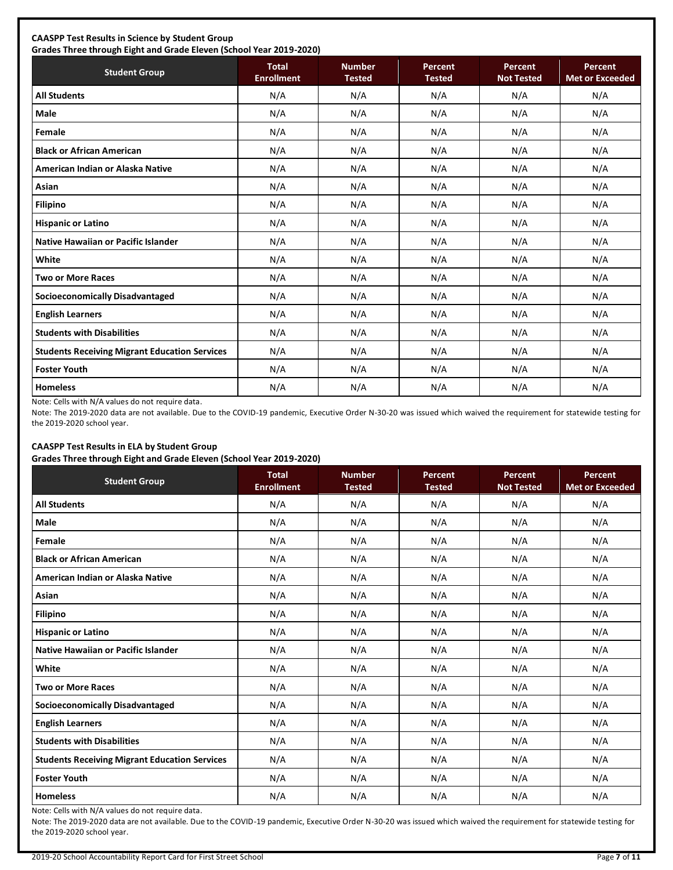### **CAASPP Test Results in Science by Student Group**

**Grades Three through Eight and Grade Eleven (School Year 2019-2020)**

| <b>Student Group</b>                                 | <b>Total</b><br><b>Enrollment</b> | <b>Number</b><br><b>Tested</b> | <b>Percent</b><br><b>Tested</b> | Percent<br><b>Not Tested</b> | Percent<br><b>Met or Exceeded</b> |
|------------------------------------------------------|-----------------------------------|--------------------------------|---------------------------------|------------------------------|-----------------------------------|
| <b>All Students</b>                                  | N/A                               | N/A                            | N/A                             | N/A                          | N/A                               |
| <b>Male</b>                                          | N/A                               | N/A                            | N/A                             | N/A                          | N/A                               |
| Female                                               | N/A                               | N/A                            | N/A                             | N/A                          | N/A                               |
| <b>Black or African American</b>                     | N/A                               | N/A                            | N/A                             | N/A                          | N/A                               |
| American Indian or Alaska Native                     | N/A                               | N/A                            | N/A                             | N/A                          | N/A                               |
| Asian                                                | N/A                               | N/A                            | N/A                             | N/A                          | N/A                               |
| <b>Filipino</b>                                      | N/A                               | N/A                            | N/A                             | N/A                          | N/A                               |
| <b>Hispanic or Latino</b>                            | N/A                               | N/A                            | N/A                             | N/A                          | N/A                               |
| Native Hawaiian or Pacific Islander                  | N/A                               | N/A                            | N/A                             | N/A                          | N/A                               |
| White                                                | N/A                               | N/A                            | N/A                             | N/A                          | N/A                               |
| <b>Two or More Races</b>                             | N/A                               | N/A                            | N/A                             | N/A                          | N/A                               |
| Socioeconomically Disadvantaged                      | N/A                               | N/A                            | N/A                             | N/A                          | N/A                               |
| <b>English Learners</b>                              | N/A                               | N/A                            | N/A                             | N/A                          | N/A                               |
| <b>Students with Disabilities</b>                    | N/A                               | N/A                            | N/A                             | N/A                          | N/A                               |
| <b>Students Receiving Migrant Education Services</b> | N/A                               | N/A                            | N/A                             | N/A                          | N/A                               |
| <b>Foster Youth</b>                                  | N/A                               | N/A                            | N/A                             | N/A                          | N/A                               |
| <b>Homeless</b>                                      | N/A                               | N/A                            | N/A                             | N/A                          | N/A                               |

Note: Cells with N/A values do not require data.

Note: The 2019-2020 data are not available. Due to the COVID-19 pandemic, Executive Order N-30-20 was issued which waived the requirement for statewide testing for the 2019-2020 school year.

### **CAASPP Test Results in ELA by Student Group**

**Grades Three through Eight and Grade Eleven (School Year 2019-2020)**

| <b>Student Group</b>                                 | - -<br><b>Total</b><br><b>Enrollment</b> | <b>Number</b><br><b>Tested</b> | Percent<br><b>Tested</b> | Percent<br><b>Not Tested</b> | Percent<br><b>Met or Exceeded</b> |
|------------------------------------------------------|------------------------------------------|--------------------------------|--------------------------|------------------------------|-----------------------------------|
| <b>All Students</b>                                  | N/A                                      | N/A                            | N/A                      | N/A                          | N/A                               |
| <b>Male</b>                                          | N/A                                      | N/A                            | N/A                      | N/A                          | N/A                               |
| Female                                               | N/A                                      | N/A                            | N/A                      | N/A                          | N/A                               |
| <b>Black or African American</b>                     | N/A                                      | N/A                            | N/A                      | N/A                          | N/A                               |
| American Indian or Alaska Native                     | N/A                                      | N/A                            | N/A                      | N/A                          | N/A                               |
| Asian                                                | N/A                                      | N/A                            | N/A                      | N/A                          | N/A                               |
| <b>Filipino</b>                                      | N/A                                      | N/A                            | N/A                      | N/A                          | N/A                               |
| <b>Hispanic or Latino</b>                            | N/A                                      | N/A                            | N/A                      | N/A                          | N/A                               |
| Native Hawaiian or Pacific Islander                  | N/A                                      | N/A                            | N/A                      | N/A                          | N/A                               |
| White                                                | N/A                                      | N/A                            | N/A                      | N/A                          | N/A                               |
| <b>Two or More Races</b>                             | N/A                                      | N/A                            | N/A                      | N/A                          | N/A                               |
| <b>Socioeconomically Disadvantaged</b>               | N/A                                      | N/A                            | N/A                      | N/A                          | N/A                               |
| <b>English Learners</b>                              | N/A                                      | N/A                            | N/A                      | N/A                          | N/A                               |
| <b>Students with Disabilities</b>                    | N/A                                      | N/A                            | N/A                      | N/A                          | N/A                               |
| <b>Students Receiving Migrant Education Services</b> | N/A                                      | N/A                            | N/A                      | N/A                          | N/A                               |
| <b>Foster Youth</b>                                  | N/A                                      | N/A                            | N/A                      | N/A                          | N/A                               |
| <b>Homeless</b>                                      | N/A                                      | N/A                            | N/A                      | N/A                          | N/A                               |

Note: Cells with N/A values do not require data.

Note: The 2019-2020 data are not available. Due to the COVID-19 pandemic, Executive Order N-30-20 was issued which waived the requirement for statewide testing for the 2019-2020 school year.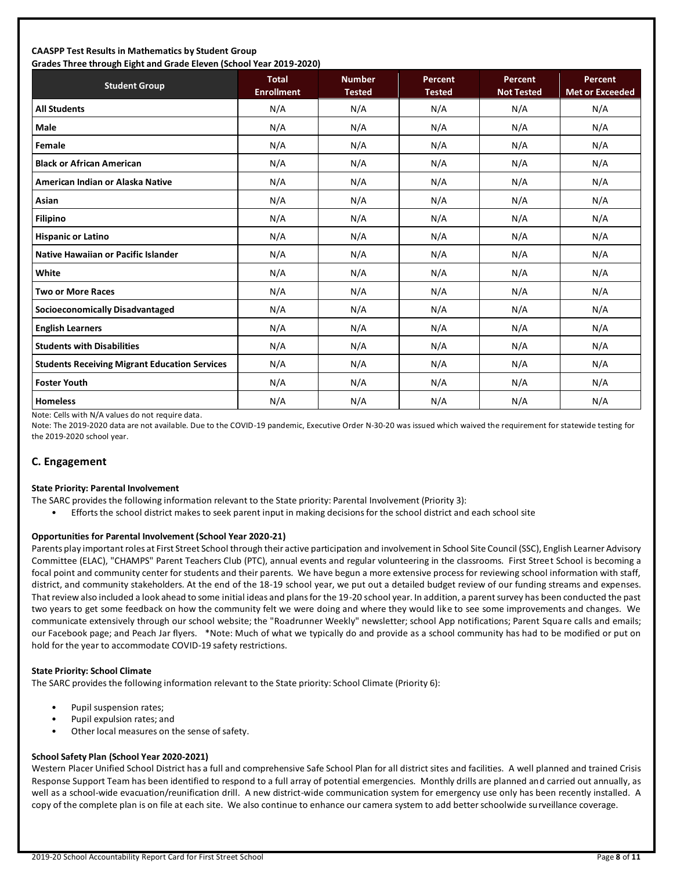### **CAASPP Test Results in Mathematics by Student Group Grades Three through Eight and Grade Eleven (School Year 2019-2020)**

| Grades Timee through Eight and Grade Eleven (Schoor fear 2015-2020)<br><b>Student Group</b> | <b>Total</b><br><b>Enrollment</b> | <b>Number</b><br><b>Tested</b> | Percent<br><b>Tested</b> | Percent<br><b>Not Tested</b> | <b>Percent</b><br><b>Met or Exceeded</b> |
|---------------------------------------------------------------------------------------------|-----------------------------------|--------------------------------|--------------------------|------------------------------|------------------------------------------|
| <b>All Students</b>                                                                         | N/A                               | N/A                            | N/A                      | N/A                          | N/A                                      |
| <b>Male</b>                                                                                 | N/A                               | N/A                            | N/A                      | N/A                          | N/A                                      |
| Female                                                                                      | N/A                               | N/A                            | N/A                      | N/A                          | N/A                                      |
| <b>Black or African American</b>                                                            | N/A                               | N/A                            | N/A                      | N/A                          | N/A                                      |
| American Indian or Alaska Native                                                            | N/A                               | N/A                            | N/A                      | N/A                          | N/A                                      |
| Asian                                                                                       | N/A                               | N/A                            | N/A                      | N/A                          | N/A                                      |
| <b>Filipino</b>                                                                             | N/A                               | N/A                            | N/A                      | N/A                          | N/A                                      |
| <b>Hispanic or Latino</b>                                                                   | N/A                               | N/A                            | N/A                      | N/A                          | N/A                                      |
| <b>Native Hawaiian or Pacific Islander</b>                                                  | N/A                               | N/A                            | N/A                      | N/A                          | N/A                                      |
| White                                                                                       | N/A                               | N/A                            | N/A                      | N/A                          | N/A                                      |
| <b>Two or More Races</b>                                                                    | N/A                               | N/A                            | N/A                      | N/A                          | N/A                                      |
| <b>Socioeconomically Disadvantaged</b>                                                      | N/A                               | N/A                            | N/A                      | N/A                          | N/A                                      |
| <b>English Learners</b>                                                                     | N/A                               | N/A                            | N/A                      | N/A                          | N/A                                      |
| <b>Students with Disabilities</b>                                                           | N/A                               | N/A                            | N/A                      | N/A                          | N/A                                      |
| <b>Students Receiving Migrant Education Services</b>                                        | N/A                               | N/A                            | N/A                      | N/A                          | N/A                                      |
| <b>Foster Youth</b>                                                                         | N/A                               | N/A                            | N/A                      | N/A                          | N/A                                      |
| <b>Homeless</b>                                                                             | N/A                               | N/A                            | N/A                      | N/A                          | N/A                                      |

Note: Cells with N/A values do not require data.

Note: The 2019-2020 data are not available. Due to the COVID-19 pandemic, Executive Order N-30-20 was issued which waived the requirement for statewide testing for the 2019-2020 school year.

### **C. Engagement**

#### **State Priority: Parental Involvement**

- The SARC provides the following information relevant to the State priority: Parental Involvement (Priority 3):
	- Efforts the school district makes to seek parent input in making decisions for the school district and each school site

### **Opportunities for Parental Involvement (School Year 2020-21)**

Parents play important roles at First Street School through their active participation and involvement in School Site Council (SSC), English Learner Advisory Committee (ELAC), "CHAMPS" Parent Teachers Club (PTC), annual events and regular volunteering in the classrooms. First Street School is becoming a focal point and community center for students and their parents. We have begun a more extensive process for reviewing school information with staff, district, and community stakeholders. At the end of the 18-19 school year, we put out a detailed budget review of our funding streams and expenses. That review also included a look ahead to some initial ideas and plans for the 19-20 school year. In addition, a parent survey has been conducted the past two years to get some feedback on how the community felt we were doing and where they would like to see some improvements and changes. We communicate extensively through our school website; the "Roadrunner Weekly" newsletter; school App notifications; Parent Square calls and emails; our Facebook page; and Peach Jar flyers. \*Note: Much of what we typically do and provide as a school community has had to be modified or put on hold for the year to accommodate COVID-19 safety restrictions.

### **State Priority: School Climate**

The SARC provides the following information relevant to the State priority: School Climate (Priority 6):

- Pupil suspension rates;
- Pupil expulsion rates; and
- Other local measures on the sense of safety.

### **School Safety Plan (School Year 2020-2021)**

Western Placer Unified School District has a full and comprehensive Safe School Plan for all district sites and facilities. A well planned and trained Crisis Response Support Team has been identified to respond to a full array of potential emergencies. Monthly drills are planned and carried out annually, as well as a school-wide evacuation/reunification drill. A new district-wide communication system for emergency use only has been recently installed. A copy of the complete plan is on file at each site. We also continue to enhance our camera system to add better schoolwide surveillance coverage.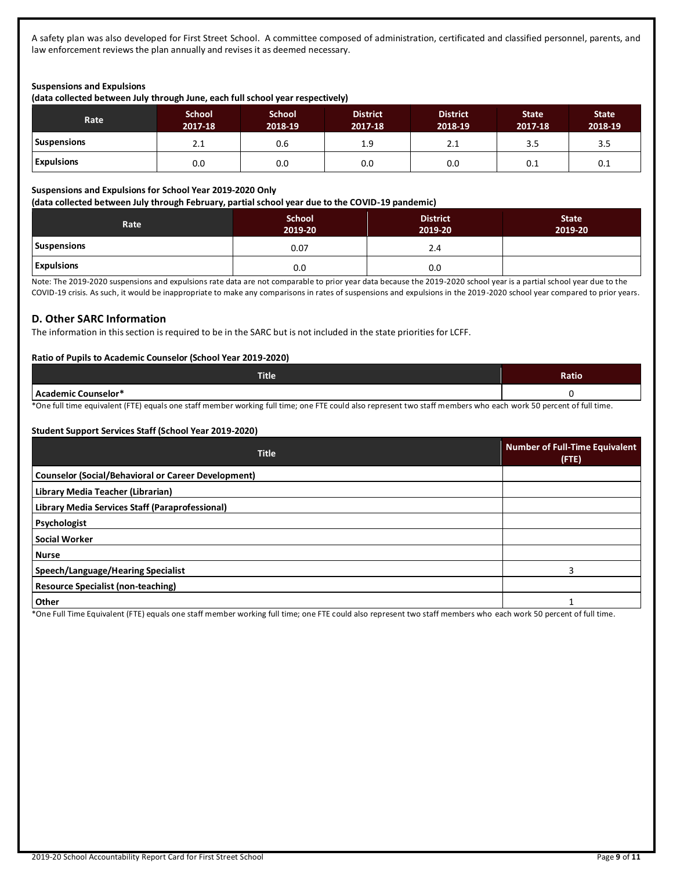A safety plan was also developed for First Street School. A committee composed of administration, certificated and classified personnel, parents, and law enforcement reviews the plan annually and revises it as deemed necessary.

### **Suspensions and Expulsions**

**(data collected between July through June, each full school year respectively)**

| Rate <sup>'</sup>  | <b>School</b><br>2017-18 | <b>School</b><br>2018-19 | <b>District</b><br>2017-18 | <b>District</b><br>2018-19 | <b>State</b><br>2017-18 | <b>State</b><br>2018-19 |
|--------------------|--------------------------|--------------------------|----------------------------|----------------------------|-------------------------|-------------------------|
| <b>Suspensions</b> | 2.1                      | 0.6                      | 1.9                        | 2.1                        | 3.5                     | 3.5                     |
| <b>Expulsions</b>  | 0.0                      | 0.0                      | 0.0                        | 0.0                        | 0.1                     | 0.1                     |

#### **Suspensions and Expulsions for School Year 2019-2020 Only**

**(data collected between July through February, partial school year due to the COVID-19 pandemic)**

| Rate               | <b>School</b><br>2019-20 | <b>District</b><br>2019-20 | <b>State</b><br>2019-20 |
|--------------------|--------------------------|----------------------------|-------------------------|
| <b>Suspensions</b> | 0.07                     | 2.4                        |                         |
| <b>Expulsions</b>  | 0.0                      | 0.0                        |                         |

Note: The 2019-2020 suspensions and expulsions rate data are not comparable to prior year data because the 2019-2020 school year is a partial school year due to the COVID-19 crisis. As such, it would be inappropriate to make any comparisons in rates of suspensions and expulsions in the 2019-2020 school year compared to prior years.

### **D. Other SARC Information**

The information in this section is required to be in the SARC but is not included in the state priorities for LCFF.

### **Ratio of Pupils to Academic Counselor (School Year 2019-2020)**

| <b>Title</b>        | Ratio |
|---------------------|-------|
| Academic Counselor* | . .   |

\*One full time equivalent (FTE) equals one staff member working full time; one FTE could also represent two staff members who each work 50 percent of full time.

### **Student Support Services Staff (School Year 2019-2020)**

| <b>Title</b>                                               | <b>Number of Full-Time Equivalent</b><br>$($ FTE $)$ |
|------------------------------------------------------------|------------------------------------------------------|
| <b>Counselor (Social/Behavioral or Career Development)</b> |                                                      |
| Library Media Teacher (Librarian)                          |                                                      |
| Library Media Services Staff (Paraprofessional)            |                                                      |
| Psychologist                                               |                                                      |
| <b>Social Worker</b>                                       |                                                      |
| <b>Nurse</b>                                               |                                                      |
| Speech/Language/Hearing Specialist                         | 3                                                    |
| <b>Resource Specialist (non-teaching)</b>                  |                                                      |
| Other                                                      |                                                      |

\*One Full Time Equivalent (FTE) equals one staff member working full time; one FTE could also represent two staff members who each work 50 percent of full time.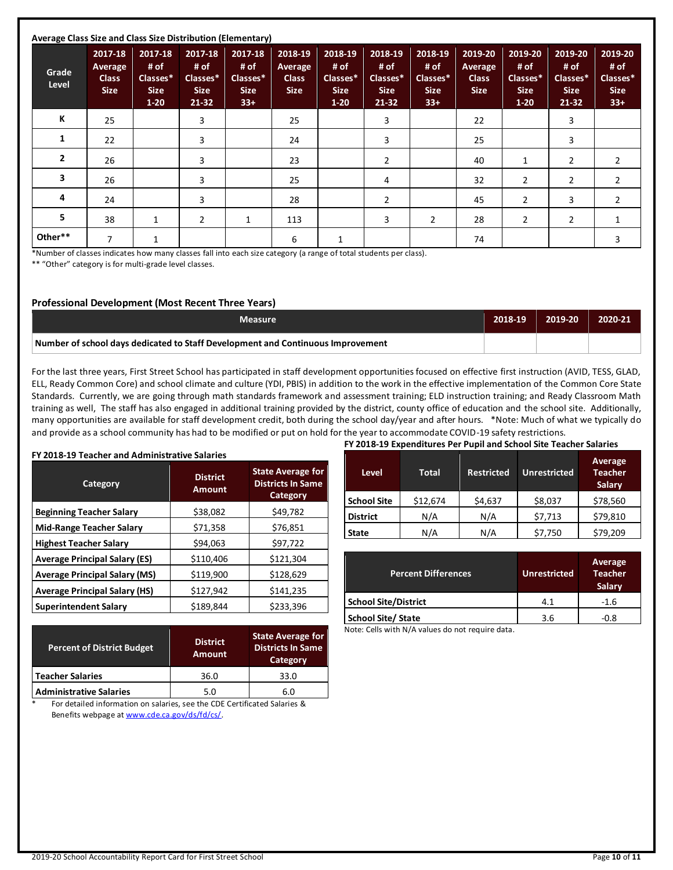| Average Class Size and Class Size Distribution (Elementary) |                                                   |                                                        |                                                       |                                                     |                                                   |                                                        |                                                       |                                                     |                                                   |                                                      |                                                         |                                                     |
|-------------------------------------------------------------|---------------------------------------------------|--------------------------------------------------------|-------------------------------------------------------|-----------------------------------------------------|---------------------------------------------------|--------------------------------------------------------|-------------------------------------------------------|-----------------------------------------------------|---------------------------------------------------|------------------------------------------------------|---------------------------------------------------------|-----------------------------------------------------|
| Grade<br>Level                                              | 2017-18<br>Average<br><b>Class</b><br><b>Size</b> | 2017-18<br># of<br>Classes*<br><b>Size</b><br>$1 - 20$ | 2017-18<br># of<br>Classes*<br><b>Size</b><br>$21-32$ | 2017-18<br># of<br>Classes*<br><b>Size</b><br>$33+$ | 2018-19<br>Average<br><b>Class</b><br><b>Size</b> | 2018-19<br># of<br>Classes*<br><b>Size</b><br>$1 - 20$ | 2018-19<br># of<br>Classes*<br><b>Size</b><br>$21-32$ | 2018-19<br># of<br>Classes*<br><b>Size</b><br>$33+$ | 2019-20<br>Average<br><b>Class</b><br><b>Size</b> | 2019-20<br># of<br>Classes*<br><b>Size</b><br>$1-20$ | 2019-20<br># of<br>Classes*<br><b>Size</b><br>$21 - 32$ | 2019-20<br># of<br>Classes*<br><b>Size</b><br>$33+$ |
| К                                                           | 25                                                |                                                        | 3                                                     |                                                     | 25                                                |                                                        | 3                                                     |                                                     | 22                                                |                                                      | 3                                                       |                                                     |
| 1                                                           | 22                                                |                                                        | 3                                                     |                                                     | 24                                                |                                                        | 3                                                     |                                                     | 25                                                |                                                      | 3                                                       |                                                     |
| $\overline{2}$                                              | 26                                                |                                                        | 3                                                     |                                                     | 23                                                |                                                        | $\overline{2}$                                        |                                                     | 40                                                | 1                                                    | 2                                                       | 2                                                   |
| 3                                                           | 26                                                |                                                        | 3                                                     |                                                     | 25                                                |                                                        | 4                                                     |                                                     | 32                                                | 2                                                    | 2                                                       | 2                                                   |
| 4                                                           | 24                                                |                                                        | 3                                                     |                                                     | 28                                                |                                                        | $\overline{2}$                                        |                                                     | 45                                                | 2                                                    | 3                                                       | 2                                                   |
| 5                                                           | 38                                                | $\mathbf{1}$                                           | $\overline{2}$                                        | $\mathbf{1}$                                        | 113                                               |                                                        | 3                                                     | $\overline{2}$                                      | 28                                                | $\overline{2}$                                       | $\overline{2}$                                          | $\mathbf{1}$                                        |
| Other**                                                     | 7                                                 | $\mathbf{1}$                                           |                                                       |                                                     | 6                                                 |                                                        |                                                       |                                                     | 74                                                |                                                      |                                                         | 3                                                   |

\*Number of classes indicates how many classes fall into each size category (a range of total students per class).

\*\* "Other" category is for multi-grade level classes.

### **Professional Development (Most Recent Three Years)**

| Measure                                                                         | 2018-19 | 2019-20 | 2020-21 |
|---------------------------------------------------------------------------------|---------|---------|---------|
| Number of school days dedicated to Staff Development and Continuous Improvement |         |         |         |

For the last three years, First Street School has participated in staff development opportunities focused on effective first instruction (AVID, TESS, GLAD, ELL, Ready Common Core) and school climate and culture (YDI, PBIS) in addition to the work in the effective implementation of the Common Core State Standards. Currently, we are going through math standards framework and assessment training; ELD instruction training; and Ready Classroom Math training as well, The staff has also engaged in additional training provided by the district, county office of education and the school site. Additionally, many opportunities are available for staff development credit, both during the school day/year and after hours. \*Note: Much of what we typically do and provide as a school community has had to be modified or put on hold for the year to accommodate COVID-19 safety restrictions.

### **FY 2018-19 Teacher and Administrative Salaries Category District Amount State Average for Districts In Same Category Beginning Teacher Salary**  $\begin{array}{ccc} \left| \begin{array}{c} 38,082 \end{array} \right| & \text{$349,782$} \end{array}$ **Mid-Range Teacher Salary 1 571,358 \$76,851 Highest Teacher Salary <br>**  $\begin{array}{ccc} \big\downarrow & \xi94,063 & \xi97,722 \end{array}$ **Average Principal Salary (ES)** \$110,406 \$121,304 **Average Principal Salary (MS)**  $\left| \right|$  \$119,900  $\left| \right|$  \$128,629 **Average Principal Salary (HS)**  $\begin{array}{ccc} \vert & \frac{1}{2} & \frac{1}{2} & \frac{1}{2} & \frac{1}{2} & \frac{1}{2} & \frac{1}{2} & \frac{1}{2} & \frac{1}{2} & \frac{1}{2} & \frac{1}{2} & \frac{1}{2} & \frac{1}{2} & \frac{1}{2} & \frac{1}{2} & \frac{1}{2} & \frac{1}{2} & \frac{1}{2} & \frac{1}{2} & \frac{1}{2} & \frac{1}{2} & \frac{1}{2} & \frac{1}{2} & \frac{$ **Superintendent Salary**  $\begin{array}{ccc} | & 5189,844 & | & 5233,396 \end{array}$

| <b>Percent of District Budget</b> | <b>District</b><br><b>Amount</b> | <b>State Average for</b><br><b>Districts In Same</b><br>Category |
|-----------------------------------|----------------------------------|------------------------------------------------------------------|
| <b>Teacher Salaries</b>           | 36.0                             | 33.0                                                             |
| <b>Administrative Salaries</b>    | 5.0                              | 6.0                                                              |

\* For detailed information on salaries, see the CDE Certificated Salaries & Benefits webpage at [www.cde.ca.gov/ds/fd/cs/.](http://www.cde.ca.gov/ds/fd/cs/)

| FY 2018-19 Expenditures Per Pupil and School Site Teacher Salaries |              |                   |                     |                                     |  |  |
|--------------------------------------------------------------------|--------------|-------------------|---------------------|-------------------------------------|--|--|
| <b>Level</b>                                                       | <b>Total</b> | <b>Restricted</b> | <b>Unrestricted</b> | Average<br><b>Teacher</b><br>Salary |  |  |
| <b>School Site</b>                                                 | \$12,674     | \$4,637           | \$8,037             | \$78,560                            |  |  |
| <b>District</b>                                                    | N/A          | N/A               | \$7,713             | \$79,810                            |  |  |
| <b>State</b>                                                       | N/A          | N/A               | \$7,750             | \$79,209                            |  |  |

| <b>Percent Differences</b> | <b>Unrestricted</b> | <b>Average</b><br><b>Teacher</b><br>Salary |
|----------------------------|---------------------|--------------------------------------------|
| School Site/District       | 4.1                 | $-1.6$                                     |
| School Site/ State         | 3.6                 | -0.8                                       |

Note: Cells with N/A values do not require data.